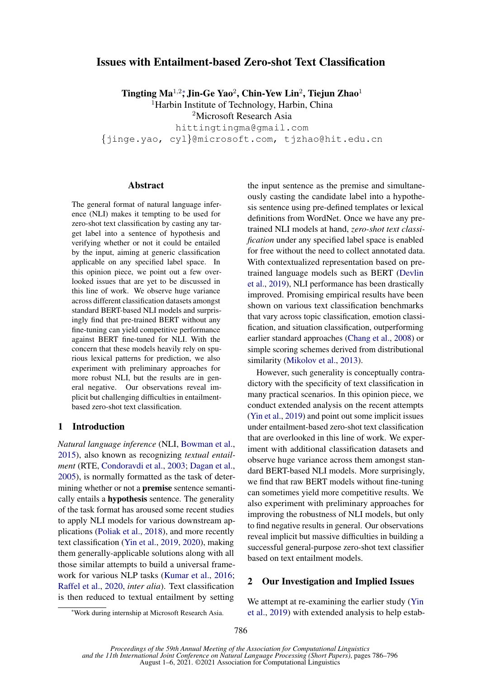# Issues with Entailment-based Zero-shot Text Classification

Tingting Ma<sup>1,2</sup>\*, Jin-Ge Yao<sup>2</sup>, Chin-Yew Lin<sup>2</sup>, Tiejun Zhao<sup>1</sup>

<sup>1</sup>Harbin Institute of Technology, Harbin, China

<sup>2</sup>Microsoft Research Asia

hittingtingma@gmail.com {jinge.yao, cyl}@microsoft.com, tjzhao@hit.edu.cn

# Abstract

The general format of natural language inference (NLI) makes it tempting to be used for zero-shot text classification by casting any target label into a sentence of hypothesis and verifying whether or not it could be entailed by the input, aiming at generic classification applicable on any specified label space. In this opinion piece, we point out a few overlooked issues that are yet to be discussed in this line of work. We observe huge variance across different classification datasets amongst standard BERT-based NLI models and surprisingly find that pre-trained BERT without any fine-tuning can yield competitive performance against BERT fine-tuned for NLI. With the concern that these models heavily rely on spurious lexical patterns for prediction, we also experiment with preliminary approaches for more robust NLI, but the results are in general negative. Our observations reveal implicit but challenging difficulties in entailmentbased zero-shot text classification.

# 1 Introduction

*Natural language inference* (NLI, [Bowman et al.,](#page-4-0) [2015\)](#page-4-0), also known as recognizing *textual entailment* (RTE, [Condoravdi et al.,](#page-5-0) [2003;](#page-5-0) [Dagan et al.,](#page-5-1) [2005\)](#page-5-1), is normally formatted as the task of determining whether or not a **premise** sentence semantically entails a hypothesis sentence. The generality of the task format has aroused some recent studies to apply NLI models for various downstream applications [\(Poliak et al.,](#page-6-0) [2018\)](#page-6-0), and more recently text classification [\(Yin et al.,](#page-7-0) [2019,](#page-7-0) [2020\)](#page-7-1), making them generally-applicable solutions along with all those similar attempts to build a universal framework for various NLP tasks [\(Kumar et al.,](#page-5-2) [2016;](#page-5-2) [Raffel et al.,](#page-6-1) [2020,](#page-6-1) *inter alia*). Text classification is then reduced to textual entailment by setting

the input sentence as the premise and simultaneously casting the candidate label into a hypothesis sentence using pre-defined templates or lexical definitions from WordNet. Once we have any pretrained NLI models at hand, *zero-shot text classification* under any specified label space is enabled for free without the need to collect annotated data. With contextualized representation based on pretrained language models such as BERT [\(Devlin](#page-5-3) [et al.,](#page-5-3) [2019\)](#page-5-3), NLI performance has been drastically improved. Promising empirical results have been shown on various text classification benchmarks that vary across topic classification, emotion classification, and situation classification, outperforming earlier standard approaches [\(Chang et al.,](#page-4-1) [2008\)](#page-4-1) or simple scoring schemes derived from distributional similarity [\(Mikolov et al.,](#page-6-2) [2013\)](#page-6-2).

However, such generality is conceptually contradictory with the specificity of text classification in many practical scenarios. In this opinion piece, we conduct extended analysis on the recent attempts [\(Yin et al.,](#page-7-0) [2019\)](#page-7-0) and point out some implicit issues under entailment-based zero-shot text classification that are overlooked in this line of work. We experiment with additional classification datasets and observe huge variance across them amongst standard BERT-based NLI models. More surprisingly, we find that raw BERT models without fine-tuning can sometimes yield more competitive results. We also experiment with preliminary approaches for improving the robustness of NLI models, but only to find negative results in general. Our observations reveal implicit but massive difficulties in building a successful general-purpose zero-shot text classifier based on text entailment models.

# 2 Our Investigation and Implied Issues

We attempt at re-examining the earlier study [\(Yin](#page-7-0)) [et al.,](#page-7-0) [2019\)](#page-7-0) with extended analysis to help estab-

<sup>∗</sup>Work during internship at Microsoft Research Asia.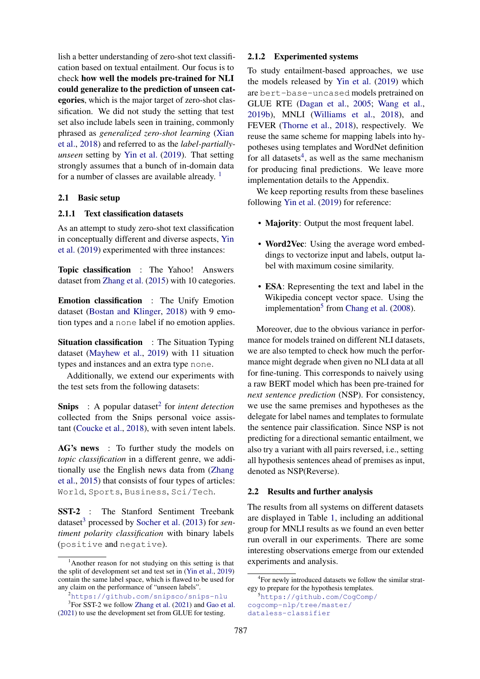lish a better understanding of zero-shot text classification based on textual entailment. Our focus is to check how well the models pre-trained for NLI could generalize to the prediction of unseen categories, which is the major target of zero-shot classification. We did not study the setting that test set also include labels seen in training, commonly phrased as *generalized zero-shot learning* [\(Xian](#page-7-2) [et al.,](#page-7-2) [2018\)](#page-7-2) and referred to as the *label-partiallyunseen* setting by [Yin et al.](#page-7-0) [\(2019\)](#page-7-0). That setting strongly assumes that a bunch of in-domain data for a number of classes are available already. [1](#page-1-0)

# 2.1 Basic setup

# 2.1.1 Text classification datasets

As an attempt to study zero-shot text classification in conceptually different and diverse aspects, [Yin](#page-7-0) [et al.](#page-7-0) [\(2019\)](#page-7-0) experimented with three instances:

Topic classification : The Yahoo! Answers dataset from [Zhang et al.](#page-7-3) [\(2015\)](#page-7-3) with 10 categories.

Emotion classification : The Unify Emotion dataset [\(Bostan and Klinger,](#page-4-2) [2018\)](#page-4-2) with 9 emotion types and a none label if no emotion applies.

Situation classification : The Situation Typing dataset [\(Mayhew et al.,](#page-6-3) [2019\)](#page-6-3) with 11 situation types and instances and an extra type none.

Additionally, we extend our experiments with the test sets from the following datasets:

**Snips** : A popular dataset<sup>[2](#page-1-1)</sup> for *intent detection* collected from the Snips personal voice assistant [\(Coucke et al.,](#page-5-4) [2018\)](#page-5-4), with seven intent labels.

AG's news : To further study the models on *topic classification* in a different genre, we additionally use the English news data from [\(Zhang](#page-7-3) [et al.,](#page-7-3) [2015\)](#page-7-3) that consists of four types of articles: World, Sports, Business, Sci/Tech.

SST-2 : The Stanford Sentiment Treebank dataset<sup>[3](#page-1-2)</sup> processed by [Socher et al.](#page-6-4) [\(2013\)](#page-6-4) for *sentiment polarity classification* with binary labels (positive and negative).

# 2.1.2 Experimented systems

To study entailment-based approaches, we use the models released by [Yin et al.](#page-7-0) [\(2019\)](#page-7-0) which are bert-base-uncased models pretrained on GLUE RTE [\(Dagan et al.,](#page-5-1) [2005;](#page-5-1) [Wang et al.,](#page-7-5) [2019b\)](#page-7-5), MNLI [\(Williams et al.,](#page-7-6) [2018\)](#page-7-6), and FEVER [\(Thorne et al.,](#page-6-5) [2018\)](#page-6-5), respectively. We reuse the same scheme for mapping labels into hypotheses using templates and WordNet definition for all datasets<sup>[4](#page-1-3)</sup>, as well as the same mechanism for producing final predictions. We leave more implementation details to the Appendix.

We keep reporting results from these baselines following [Yin et al.](#page-7-0) [\(2019\)](#page-7-0) for reference:

- **Majority**: Output the most frequent label.
- Word2Vec: Using the average word embeddings to vectorize input and labels, output label with maximum cosine similarity.
- ESA: Representing the text and label in the Wikipedia concept vector space. Using the implementation<sup>[5](#page-1-4)</sup> from [Chang et al.](#page-4-1) [\(2008\)](#page-4-1).

Moreover, due to the obvious variance in performance for models trained on different NLI datasets, we are also tempted to check how much the performance might degrade when given no NLI data at all for fine-tuning. This corresponds to naively using a raw BERT model which has been pre-trained for *next sentence prediction* (NSP). For consistency, we use the same premises and hypotheses as the delegate for label names and templates to formulate the sentence pair classification. Since NSP is not predicting for a directional semantic entailment, we also try a variant with all pairs reversed, i.e., setting all hypothesis sentences ahead of premises as input, denoted as NSP(Reverse).

#### 2.2 Results and further analysis

The results from all systems on different datasets are displayed in Table [1,](#page-2-0) including an additional group for MNLI results as we found an even better run overall in our experiments. There are some interesting observations emerge from our extended experiments and analysis.

<span id="page-1-0"></span><sup>&</sup>lt;sup>1</sup>Another reason for not studying on this setting is that the split of development set and test set in [\(Yin et al.,](#page-7-0) [2019\)](#page-7-0) contain the same label space, which is flawed to be used for any claim on the performance of "unseen labels".

<span id="page-1-2"></span><span id="page-1-1"></span><sup>2</sup><https://github.com/snipsco/snips-nlu>

<sup>&</sup>lt;sup>3</sup>For SST-2 we follow [Zhang et al.](#page-7-4) [\(2021\)](#page-7-4) and [Gao et al.](#page-5-5) [\(2021\)](#page-5-5) to use the development set from GLUE for testing.

<span id="page-1-3"></span><sup>4</sup> For newly introduced datasets we follow the similar strategy to prepare for the hypothesis templates.

<span id="page-1-4"></span><sup>5</sup>[https://github.com/CogComp/](https://github.com/CogComp/cogcomp-nlp/tree/master/dataless-classifier) [cogcomp-nlp/tree/master/](https://github.com/CogComp/cogcomp-nlp/tree/master/dataless-classifier) [dataless-classifier](https://github.com/CogComp/cogcomp-nlp/tree/master/dataless-classifier)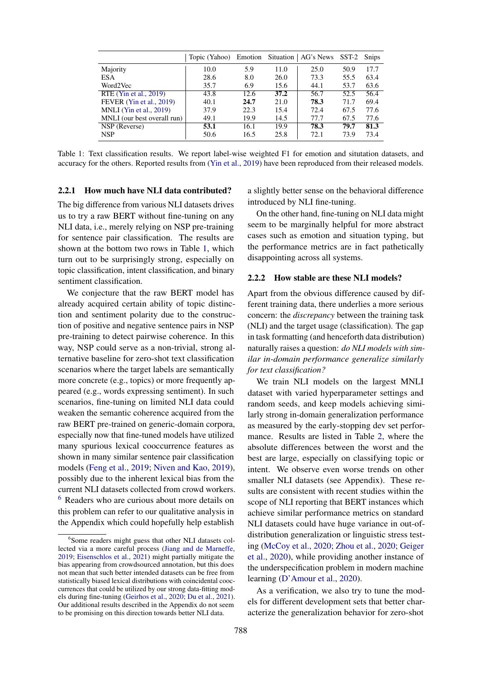<span id="page-2-0"></span>

|                             | Topic (Yahoo) Emotion Situation   AG's News SST-2 Snips |      |      |      |      |      |
|-----------------------------|---------------------------------------------------------|------|------|------|------|------|
| Majority                    | 10.0                                                    | 5.9  | 11.0 | 25.0 | 50.9 | 17.7 |
| <b>ESA</b>                  | 28.6                                                    | 8.0  | 26.0 | 73.3 | 55.5 | 63.4 |
| Word2Vec                    | 35.7                                                    | 6.9  | 15.6 | 44.1 | 53.7 | 63.6 |
| RTE (Yin et al., 2019)      | 43.8                                                    | 12.6 | 37.2 | 56.7 | 52.5 | 56.4 |
| FEVER (Yin et al., 2019)    | 40.1                                                    | 24.7 | 21.0 | 78.3 | 71.7 | 69.4 |
| MNLI (Yin et al., $2019$ )  | 37.9                                                    | 22.3 | 15.4 | 72.4 | 67.5 | 77.6 |
| MNLI (our best overall run) | 49.1                                                    | 19.9 | 14.5 | 77.7 | 67.5 | 77.6 |
| NSP (Reverse)               | 53.1                                                    | 16.1 | 19.9 | 78.3 | 79.7 | 81.3 |
| <b>NSP</b>                  | 50.6                                                    | 16.5 | 25.8 | 72.1 | 73.9 | 73.4 |

Table 1: Text classification results. We report label-wise weighted F1 for emotion and situtation datasets, and accuracy for the others. Reported results from [\(Yin et al.,](#page-7-0) [2019\)](#page-7-0) have been reproduced from their released models.

#### 2.2.1 How much have NLI data contributed?

The big difference from various NLI datasets drives us to try a raw BERT without fine-tuning on any NLI data, i.e., merely relying on NSP pre-training for sentence pair classification. The results are shown at the bottom two rows in Table [1,](#page-2-0) which turn out to be surprisingly strong, especially on topic classification, intent classification, and binary sentiment classification.

We conjecture that the raw BERT model has already acquired certain ability of topic distinction and sentiment polarity due to the construction of positive and negative sentence pairs in NSP pre-training to detect pairwise coherence. In this way, NSP could serve as a non-trivial, strong alternative baseline for zero-shot text classification scenarios where the target labels are semantically more concrete (e.g., topics) or more frequently appeared (e.g., words expressing sentiment). In such scenarios, fine-tuning on limited NLI data could weaken the semantic coherence acquired from the raw BERT pre-trained on generic-domain corpora, especially now that fine-tuned models have utilized many spurious lexical cooccurrence features as shown in many similar sentence pair classification models [\(Feng et al.,](#page-5-6) [2019;](#page-5-6) [Niven and Kao,](#page-6-6) [2019\)](#page-6-6), possibly due to the inherent lexical bias from the current NLI datasets collected from crowd workers. <sup>[6](#page-2-1)</sup> Readers who are curious about more details on this problem can refer to our qualitative analysis in the Appendix which could hopefully help establish

a slightly better sense on the behavioral difference introduced by NLI fine-tuning.

On the other hand, fine-tuning on NLI data might seem to be marginally helpful for more abstract cases such as emotion and situation typing, but the performance metrics are in fact pathetically disappointing across all systems.

#### 2.2.2 How stable are these NLI models?

Apart from the obvious difference caused by different training data, there underlies a more serious concern: the *discrepancy* between the training task (NLI) and the target usage (classification). The gap in task formatting (and henceforth data distribution) naturally raises a question: *do NLI models with similar in-domain performance generalize similarly for text classification?*

We train NLI models on the largest MNLI dataset with varied hyperparameter settings and random seeds, and keep models achieving similarly strong in-domain generalization performance as measured by the early-stopping dev set performance. Results are listed in Table [2,](#page-3-0) where the absolute differences between the worst and the best are large, especially on classifying topic or intent. We observe even worse trends on other smaller NLI datasets (see Appendix). These results are consistent with recent studies within the scope of NLI reporting that BERT instances which achieve similar performance metrics on standard NLI datasets could have huge variance in out-ofdistribution generalization or linguistic stress testing [\(McCoy et al.,](#page-6-7) [2020;](#page-6-7) [Zhou et al.,](#page-7-7) [2020;](#page-7-7) [Geiger](#page-5-11) [et al.,](#page-5-11) [2020\)](#page-5-11), while providing another instance of the underspecification problem in modern machine learning [\(D'Amour et al.,](#page-5-12) [2020\)](#page-5-12).

As a verification, we also try to tune the models for different development sets that better characterize the generalization behavior for zero-shot

<span id="page-2-1"></span><sup>6</sup> Some readers might guess that other NLI datasets collected via a more careful process [\(Jiang and de Marneffe,](#page-5-7) [2019;](#page-5-7) [Eisenschlos et al.,](#page-5-8) [2021\)](#page-5-8) might partially mitigate the bias appearing from crowdsourced annotation, but this does not mean that such better intended datasets can be free from statistically biased lexical distributions with coincidental cooccurrences that could be utilized by our strong data-fitting models during fine-tuning [\(Geirhos et al.,](#page-5-9) [2020;](#page-5-9) [Du et al.,](#page-5-10) [2021\)](#page-5-10). Our additional results described in the Appendix do not seem to be promising on this direction towards better NLI data.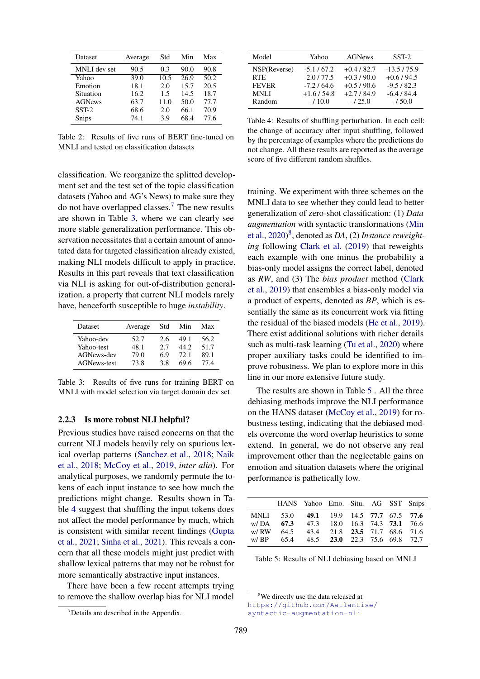<span id="page-3-0"></span>

| Dataset       | Average | Std  | Min               | Max               |
|---------------|---------|------|-------------------|-------------------|
| MNLI dev set  | 90.5    | 0.3  | 90.0              | 90.8              |
| Yahoo         | 39.0    | 10.5 | $\overline{26.9}$ | $\overline{50.2}$ |
| Emotion       | 18.1    | 2.0  | 15.7              | 20.5              |
| Situation     | 16.2    | 1.5  | 14.5              | 18.7              |
| <b>AGNews</b> | 63.7    | 11.0 | 50.0              | 77.7              |
| $SST-2$       | 68.6    | 2.0  | 66.1              | 70.9              |
| Snips         | 74.1    | 3.9  | 68.4              | 77.6              |

Table 2: Results of five runs of BERT fine-tuned on MNLI and tested on classification datasets

classification. We reorganize the splitted development set and the test set of the topic classification datasets (Yahoo and AG's News) to make sure they do not have overlapped classes.[7](#page-3-1) The new results are shown in Table [3,](#page-3-2) where we can clearly see more stable generalization performance. This observation necessitates that a certain amount of annotated data for targeted classification already existed, making NLI models difficult to apply in practice. Results in this part reveals that text classification via NLI is asking for out-of-distribution generalization, a property that current NLI models rarely have, henceforth susceptible to huge *instability*.

<span id="page-3-2"></span>

| Dataset            | Average | Std | Min  | Max  |
|--------------------|---------|-----|------|------|
| Yahoo-dev          | 52.7    | 26  | 49.1 | 56.2 |
| Yahoo-test         | 48.1    | 27  | 44.2 | 51.7 |
| AGNews-dev         | 79.0    | 69  | 72.1 | 89.1 |
| <b>AGNews-test</b> | 73.8    | 38  | 69.6 | 77.4 |

Table 3: Results of five runs for training BERT on MNLI with model selection via target domain dev set

#### 2.2.3 Is more robust NLI helpful?

Previous studies have raised concerns on that the current NLI models heavily rely on spurious lexical overlap patterns [\(Sanchez et al.,](#page-6-8) [2018;](#page-6-8) [Naik](#page-6-9) [et al.,](#page-6-9) [2018;](#page-6-9) [McCoy et al.,](#page-6-10) [2019,](#page-6-10) *inter alia*). For analytical purposes, we randomly permute the tokens of each input instance to see how much the predictions might change. Results shown in Table [4](#page-3-3) suggest that shuffling the input tokens does not affect the model performance by much, which is consistent with similar recent findings [\(Gupta](#page-5-13) [et al.,](#page-5-13) [2021;](#page-5-13) [Sinha et al.,](#page-6-11) [2021\)](#page-6-11). This reveals a concern that all these models might just predict with shallow lexical patterns that may not be robust for more semantically abstractive input instances.

There have been a few recent attempts trying to remove the shallow overlap bias for NLI model

<span id="page-3-3"></span>

| Model        | Yahoo       | <b>AGNews</b> | $SST-2$      |
|--------------|-------------|---------------|--------------|
| NSP(Reverse) | $-5.1/67.2$ | $+0.4/82.7$   | $-13.5/75.9$ |
| <b>RTE</b>   | $-2.0/77.5$ | $+0.3/90.0$   | $+0.6/94.5$  |
| <b>FEVER</b> | $-7.2/64.6$ | $+0.5/90.6$   | $-9.5/82.3$  |
| <b>MNLI</b>  | $+1.6/54.8$ | $+2.7/84.9$   | $-6.4/84.4$  |
| Random       | $-110.0$    | $-125.0$      | $-150.0$     |

Table 4: Results of shuffling perturbation. In each cell: the change of accuracy after input shuffling, followed by the percentage of examples where the predictions do not change. All these results are reported as the average score of five different random shuffles.

training. We experiment with three schemes on the MNLI data to see whether they could lead to better generalization of zero-shot classification: (1) *Data augmentation* with syntactic transformations [\(Min](#page-6-12) [et al.,](#page-6-12) [2020\)](#page-6-12) [8](#page-3-4) , denoted as *DA*, (2) *Instance reweighting* following [Clark et al.](#page-4-3) [\(2019\)](#page-4-3) that reweights each example with one minus the probability a bias-only model assigns the correct label, denoted as *RW*, and (3) The *bias product* method [\(Clark](#page-4-3) [et al.,](#page-4-3) [2019\)](#page-4-3) that ensembles a bias-only model via a product of experts, denoted as *BP*, which is essentially the same as its concurrent work via fitting the residual of the biased models [\(He et al.,](#page-5-14) [2019\)](#page-5-14). There exist additional solutions with richer details such as multi-task learning [\(Tu et al.,](#page-7-8) [2020\)](#page-7-8) where proper auxiliary tasks could be identified to improve robustness. We plan to explore more in this line in our more extensive future study.

The results are shown in Table [5](#page-3-5) . All the three debiasing methods improve the NLI performance on the HANS dataset [\(McCoy et al.,](#page-6-10) [2019\)](#page-6-10) for robustness testing, indicating that the debiased models overcome the word overlap heuristics to some extend. In general, we do not observe any real improvement other than the neglectable gains on emotion and situation datasets where the original performance is pathetically low.

<span id="page-3-5"></span>

|      |                                                 | HANS Yahoo Emo. Situ. AG SST Snips |  |  |  |
|------|-------------------------------------------------|------------------------------------|--|--|--|
| w/DA | MNLI 53.0 49.1 19.9 14.5 77.7 67.5 77.6<br>67.3 | 47.3 18.0 16.3 74.3 73.1 76.6      |  |  |  |
|      | w/RW 64.5 43.4 21.8 23.5 71.7 68.6 71.6         |                                    |  |  |  |
| w/BP | 65.4                                            | 48.5 23.0 22.3 75.6 69.8 72.7      |  |  |  |

Table 5: Results of NLI debiasing based on MNLI

<span id="page-3-1"></span><sup>7</sup>Details are described in the Appendix.

<span id="page-3-4"></span><sup>&</sup>lt;sup>8</sup>We directly use the data released at [https://github.com/Aatlantise/](https://github.com/Aatlantise/syntactic-augmentation-nli)

[syntactic-augmentation-nli](https://github.com/Aatlantise/syntactic-augmentation-nli)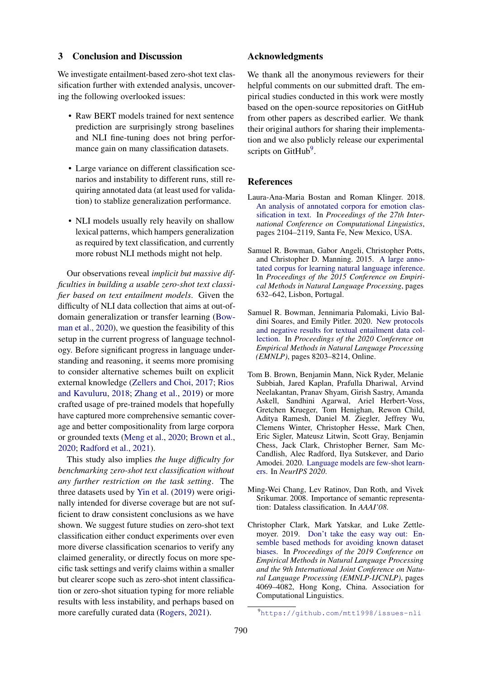#### 3 Conclusion and Discussion

We investigate entailment-based zero-shot text classification further with extended analysis, uncovering the following overlooked issues:

- Raw BERT models trained for next sentence prediction are surprisingly strong baselines and NLI fine-tuning does not bring performance gain on many classification datasets.
- Large variance on different classification scenarios and instability to different runs, still requiring annotated data (at least used for validation) to stablize generalization performance.
- NLI models usually rely heavily on shallow lexical patterns, which hampers generalization as required by text classification, and currently more robust NLI methods might not help.

Our observations reveal *implicit but massive difficulties in building a usable zero-shot text classifier based on text entailment models*. Given the difficulty of NLI data collection that aims at out-ofdomain generalization or transfer learning [\(Bow](#page-4-4)[man et al.,](#page-4-4) [2020\)](#page-4-4), we question the feasibility of this setup in the current progress of language technology. Before significant progress in language understanding and reasoning, it seems more promising to consider alternative schemes built on explicit external knowledge [\(Zellers and Choi,](#page-7-9) [2017;](#page-7-9) [Rios](#page-6-13) [and Kavuluru,](#page-6-13) [2018;](#page-6-13) [Zhang et al.,](#page-7-10) [2019\)](#page-7-10) or more crafted usage of pre-trained models that hopefully have captured more comprehensive semantic coverage and better compositionality from large corpora or grounded texts [\(Meng et al.,](#page-6-14) [2020;](#page-6-14) [Brown et al.,](#page-4-5) [2020;](#page-4-5) [Radford et al.,](#page-6-15) [2021\)](#page-6-15).

This study also implies *the huge difficulty for benchmarking zero-shot text classification without any further restriction on the task setting*. The three datasets used by [Yin et al.](#page-7-0) [\(2019\)](#page-7-0) were originally intended for diverse coverage but are not sufficient to draw consistent conclusions as we have shown. We suggest future studies on zero-shot text classification either conduct experiments over even more diverse classification scenarios to verify any claimed generality, or directly focus on more specific task settings and verify claims within a smaller but clearer scope such as zero-shot intent classification or zero-shot situation typing for more reliable results with less instability, and perhaps based on more carefully curated data [\(Rogers,](#page-6-16) [2021\)](#page-6-16).

# Acknowledgments

We thank all the anonymous reviewers for their helpful comments on our submitted draft. The empirical studies conducted in this work were mostly based on the open-source repositories on GitHub from other papers as described earlier. We thank their original authors for sharing their implementation and we also publicly release our experimental scripts on GitHub<sup>[9](#page-4-6)</sup>.

# References

- <span id="page-4-2"></span>Laura-Ana-Maria Bostan and Roman Klinger. 2018. [An analysis of annotated corpora for emotion clas](https://www.aclweb.org/anthology/C18-1179)[sification in text.](https://www.aclweb.org/anthology/C18-1179) In *Proceedings of the 27th International Conference on Computational Linguistics*, pages 2104–2119, Santa Fe, New Mexico, USA.
- <span id="page-4-0"></span>Samuel R. Bowman, Gabor Angeli, Christopher Potts, and Christopher D. Manning. 2015. [A large anno](https://doi.org/10.18653/v1/D15-1075)[tated corpus for learning natural language inference.](https://doi.org/10.18653/v1/D15-1075) In *Proceedings of the 2015 Conference on Empirical Methods in Natural Language Processing*, pages 632–642, Lisbon, Portugal.
- <span id="page-4-4"></span>Samuel R. Bowman, Jennimaria Palomaki, Livio Baldini Soares, and Emily Pitler. 2020. [New protocols](https://doi.org/10.18653/v1/2020.emnlp-main.658) [and negative results for textual entailment data col](https://doi.org/10.18653/v1/2020.emnlp-main.658)[lection.](https://doi.org/10.18653/v1/2020.emnlp-main.658) In *Proceedings of the 2020 Conference on Empirical Methods in Natural Language Processing (EMNLP)*, pages 8203–8214, Online.
- <span id="page-4-5"></span>Tom B. Brown, Benjamin Mann, Nick Ryder, Melanie Subbiah, Jared Kaplan, Prafulla Dhariwal, Arvind Neelakantan, Pranav Shyam, Girish Sastry, Amanda Askell, Sandhini Agarwal, Ariel Herbert-Voss, Gretchen Krueger, Tom Henighan, Rewon Child, Aditya Ramesh, Daniel M. Ziegler, Jeffrey Wu, Clemens Winter, Christopher Hesse, Mark Chen, Eric Sigler, Mateusz Litwin, Scott Gray, Benjamin Chess, Jack Clark, Christopher Berner, Sam Mc-Candlish, Alec Radford, Ilya Sutskever, and Dario Amodei. 2020. [Language models are few-shot learn](https://proceedings.neurips.cc/paper/2020/hash/1457c0d6bfcb4967418bfb8ac142f64a-Abstract.html)[ers.](https://proceedings.neurips.cc/paper/2020/hash/1457c0d6bfcb4967418bfb8ac142f64a-Abstract.html) In *NeurIPS 2020*.
- <span id="page-4-1"></span>Ming-Wei Chang, Lev Ratinov, Dan Roth, and Vivek Srikumar. 2008. Importance of semantic representation: Dataless classification. In *AAAI'08*.
- <span id="page-4-3"></span>Christopher Clark, Mark Yatskar, and Luke Zettlemoyer. 2019. [Don't take the easy way out: En](https://doi.org/10.18653/v1/D19-1418)[semble based methods for avoiding known dataset](https://doi.org/10.18653/v1/D19-1418) [biases.](https://doi.org/10.18653/v1/D19-1418) In *Proceedings of the 2019 Conference on Empirical Methods in Natural Language Processing and the 9th International Joint Conference on Natural Language Processing (EMNLP-IJCNLP)*, pages 4069–4082, Hong Kong, China. Association for Computational Linguistics.

<span id="page-4-6"></span><sup>9</sup><https://github.com/mtt1998/issues-nli>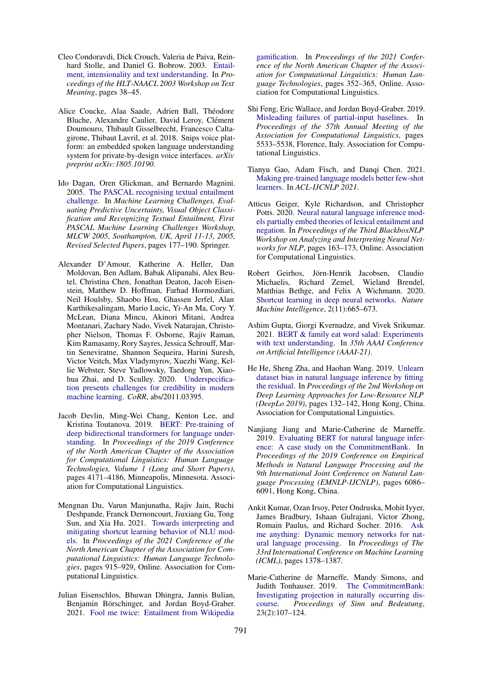- <span id="page-5-0"></span>Cleo Condoravdi, Dick Crouch, Valeria de Paiva, Reinhard Stolle, and Daniel G. Bobrow. 2003. [Entail](https://www.aclweb.org/anthology/W03-0906)[ment, intensionality and text understanding.](https://www.aclweb.org/anthology/W03-0906) In *Proceedings of the HLT-NAACL 2003 Workshop on Text Meaning*, pages 38–45.
- <span id="page-5-4"></span>Alice Coucke, Alaa Saade, Adrien Ball, Théodore Bluche, Alexandre Caulier, David Leroy, Clément Doumouro, Thibault Gisselbrecht, Francesco Caltagirone, Thibaut Lavril, et al. 2018. Snips voice platform: an embedded spoken language understanding system for private-by-design voice interfaces. *arXiv preprint arXiv:1805.10190*.
- <span id="page-5-1"></span>Ido Dagan, Oren Glickman, and Bernardo Magnini. 2005. [The PASCAL recognising textual entailment](https://doi.org/10.1007/11736790_9) [challenge.](https://doi.org/10.1007/11736790_9) In *Machine Learning Challenges, Evaluating Predictive Uncertainty, Visual Object Classification and Recognizing Textual Entailment, First PASCAL Machine Learning Challenges Workshop, MLCW 2005, Southampton, UK, April 11-13, 2005, Revised Selected Papers*, pages 177–190. Springer.
- <span id="page-5-12"></span>Alexander D'Amour, Katherine A. Heller, Dan Moldovan, Ben Adlam, Babak Alipanahi, Alex Beutel, Christina Chen, Jonathan Deaton, Jacob Eisenstein, Matthew D. Hoffman, Farhad Hormozdiari, Neil Houlsby, Shaobo Hou, Ghassen Jerfel, Alan Karthikesalingam, Mario Lucic, Yi-An Ma, Cory Y. McLean, Diana Mincu, Akinori Mitani, Andrea Montanari, Zachary Nado, Vivek Natarajan, Christopher Nielson, Thomas F. Osborne, Rajiv Raman, Kim Ramasamy, Rory Sayres, Jessica Schrouff, Martin Seneviratne, Shannon Sequeira, Harini Suresh, Victor Veitch, Max Vladymyrov, Xuezhi Wang, Kellie Webster, Steve Yadlowsky, Taedong Yun, Xiaohua Zhai, and D. Sculley. 2020. [Underspecifica](https://arxiv.org/abs/2011.03395)[tion presents challenges for credibility in modern](https://arxiv.org/abs/2011.03395) [machine learning.](https://arxiv.org/abs/2011.03395) *CoRR*, abs/2011.03395.
- <span id="page-5-3"></span>Jacob Devlin, Ming-Wei Chang, Kenton Lee, and Kristina Toutanova. 2019. [BERT: Pre-training of](https://doi.org/10.18653/v1/N19-1423) [deep bidirectional transformers for language under](https://doi.org/10.18653/v1/N19-1423)[standing.](https://doi.org/10.18653/v1/N19-1423) In *Proceedings of the 2019 Conference of the North American Chapter of the Association for Computational Linguistics: Human Language Technologies, Volume 1 (Long and Short Papers)*, pages 4171–4186, Minneapolis, Minnesota. Association for Computational Linguistics.
- <span id="page-5-10"></span>Mengnan Du, Varun Manjunatha, Rajiv Jain, Ruchi Deshpande, Franck Dernoncourt, Jiuxiang Gu, Tong Sun, and Xia Hu. 2021. [Towards interpreting and](https://www.aclweb.org/anthology/2021.naacl-main.71) [mitigating shortcut learning behavior of NLU mod](https://www.aclweb.org/anthology/2021.naacl-main.71)[els.](https://www.aclweb.org/anthology/2021.naacl-main.71) In *Proceedings of the 2021 Conference of the North American Chapter of the Association for Computational Linguistics: Human Language Technologies*, pages 915–929, Online. Association for Computational Linguistics.
- <span id="page-5-8"></span>Julian Eisenschlos, Bhuwan Dhingra, Jannis Bulian, Benjamin Börschinger, and Jordan Boyd-Graber. 2021. [Fool me twice: Entailment from Wikipedia](https://www.aclweb.org/anthology/2021.naacl-main.32)

[gamification.](https://www.aclweb.org/anthology/2021.naacl-main.32) In *Proceedings of the 2021 Conference of the North American Chapter of the Association for Computational Linguistics: Human Language Technologies*, pages 352–365, Online. Association for Computational Linguistics.

- <span id="page-5-6"></span>Shi Feng, Eric Wallace, and Jordan Boyd-Graber. 2019. [Misleading failures of partial-input baselines.](https://doi.org/10.18653/v1/P19-1554) In *Proceedings of the 57th Annual Meeting of the Association for Computational Linguistics*, pages 5533–5538, Florence, Italy. Association for Computational Linguistics.
- <span id="page-5-5"></span>Tianyu Gao, Adam Fisch, and Danqi Chen. 2021. [Making pre-trained language models better few-shot](https://arxiv.org/abs/2012.15723) [learners.](https://arxiv.org/abs/2012.15723) In *ACL-IJCNLP 2021*.
- <span id="page-5-11"></span>Atticus Geiger, Kyle Richardson, and Christopher Potts. 2020. [Neural natural language inference mod](https://doi.org/10.18653/v1/2020.blackboxnlp-1.16)[els partially embed theories of lexical entailment and](https://doi.org/10.18653/v1/2020.blackboxnlp-1.16) [negation.](https://doi.org/10.18653/v1/2020.blackboxnlp-1.16) In *Proceedings of the Third BlackboxNLP Workshop on Analyzing and Interpreting Neural Networks for NLP*, pages 163–173, Online. Association for Computational Linguistics.
- <span id="page-5-9"></span>Robert Geirhos, Jörn-Henrik Jacobsen, Claudio Michaelis, Richard Zemel, Wieland Brendel, Matthias Bethge, and Felix A Wichmann. 2020. [Shortcut learning in deep neural networks.](https://doi.org/10.1038/s42256-020-00257-z) *Nature Machine Intelligence*, 2(11):665–673.
- <span id="page-5-13"></span>Ashim Gupta, Giorgi Kvernadze, and Vivek Srikumar. 2021. [BERT & family eat word salad: Experiments](https://arxiv.org/abs/2101.03453) [with text understanding.](https://arxiv.org/abs/2101.03453) In *35th AAAI Conference on Artificial Intelligence (AAAI-21)*.
- <span id="page-5-14"></span>He He, Sheng Zha, and Haohan Wang. 2019. [Unlearn](https://doi.org/10.18653/v1/D19-6115) [dataset bias in natural language inference by fitting](https://doi.org/10.18653/v1/D19-6115) [the residual.](https://doi.org/10.18653/v1/D19-6115) In *Proceedings of the 2nd Workshop on Deep Learning Approaches for Low-Resource NLP (DeepLo 2019)*, pages 132–142, Hong Kong, China. Association for Computational Linguistics.
- <span id="page-5-7"></span>Nanjiang Jiang and Marie-Catherine de Marneffe. 2019. [Evaluating BERT for natural language infer](https://doi.org/10.18653/v1/D19-1630)[ence: A case study on the CommitmentBank.](https://doi.org/10.18653/v1/D19-1630) In *Proceedings of the 2019 Conference on Empirical Methods in Natural Language Processing and the 9th International Joint Conference on Natural Language Processing (EMNLP-IJCNLP)*, pages 6086– 6091, Hong Kong, China.
- <span id="page-5-2"></span>Ankit Kumar, Ozan Irsoy, Peter Ondruska, Mohit Iyyer, James Bradbury, Ishaan Gulrajani, Victor Zhong, Romain Paulus, and Richard Socher. 2016. [Ask](http://proceedings.mlr.press/v48/kumar16.html) [me anything: Dynamic memory networks for nat](http://proceedings.mlr.press/v48/kumar16.html)[ural language processing.](http://proceedings.mlr.press/v48/kumar16.html) In *Proceedings of The 33rd International Conference on Machine Learning (ICML)*, pages 1378–1387.
- <span id="page-5-15"></span>Marie-Catherine de Marneffe, Mandy Simons, and Judith Tonhauser. 2019. [The CommitmentBank:](https://doi.org/10.18148/sub/2019.v23i2.601) [Investigating projection in naturally occurring dis](https://doi.org/10.18148/sub/2019.v23i2.601)[course.](https://doi.org/10.18148/sub/2019.v23i2.601) *Proceedings of Sinn und Bedeutung*, 23(2):107–124.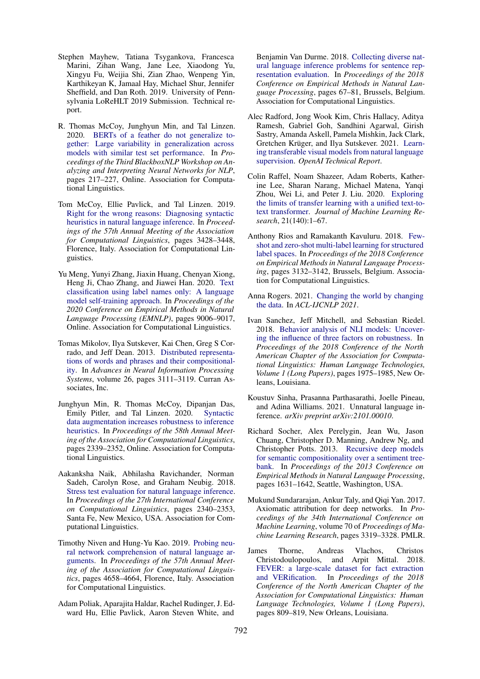- <span id="page-6-3"></span>Stephen Mayhew, Tatiana Tsygankova, Francesca Marini, Zihan Wang, Jane Lee, Xiaodong Yu, Xingyu Fu, Weijia Shi, Zian Zhao, Wenpeng Yin, Karthikeyan K, Jamaal Hay, Michael Shur, Jennifer Sheffield, and Dan Roth. 2019. University of Pennsylvania LoReHLT 2019 Submission. Technical report.
- <span id="page-6-7"></span>R. Thomas McCoy, Junghyun Min, and Tal Linzen. 2020. [BERTs of a feather do not generalize to](https://doi.org/10.18653/v1/2020.blackboxnlp-1.21)[gether: Large variability in generalization across](https://doi.org/10.18653/v1/2020.blackboxnlp-1.21) [models with similar test set performance.](https://doi.org/10.18653/v1/2020.blackboxnlp-1.21) In *Proceedings of the Third BlackboxNLP Workshop on Analyzing and Interpreting Neural Networks for NLP*, pages 217–227, Online. Association for Computational Linguistics.
- <span id="page-6-10"></span>Tom McCoy, Ellie Pavlick, and Tal Linzen. 2019. [Right for the wrong reasons: Diagnosing syntactic](https://doi.org/10.18653/v1/P19-1334) [heuristics in natural language inference.](https://doi.org/10.18653/v1/P19-1334) In *Proceedings of the 57th Annual Meeting of the Association for Computational Linguistics*, pages 3428–3448, Florence, Italy. Association for Computational Linguistics.
- <span id="page-6-14"></span>Yu Meng, Yunyi Zhang, Jiaxin Huang, Chenyan Xiong, Heng Ji, Chao Zhang, and Jiawei Han. 2020. [Text](https://doi.org/10.18653/v1/2020.emnlp-main.724) [classification using label names only: A language](https://doi.org/10.18653/v1/2020.emnlp-main.724) [model self-training approach.](https://doi.org/10.18653/v1/2020.emnlp-main.724) In *Proceedings of the 2020 Conference on Empirical Methods in Natural Language Processing (EMNLP)*, pages 9006–9017, Online. Association for Computational Linguistics.
- <span id="page-6-2"></span>Tomas Mikolov, Ilya Sutskever, Kai Chen, Greg S Corrado, and Jeff Dean. 2013. [Distributed representa](https://proceedings.neurips.cc/paper/2013/file/9aa42b31882ec039965f3c4923ce901b-Paper.pdf)[tions of words and phrases and their compositional](https://proceedings.neurips.cc/paper/2013/file/9aa42b31882ec039965f3c4923ce901b-Paper.pdf)[ity.](https://proceedings.neurips.cc/paper/2013/file/9aa42b31882ec039965f3c4923ce901b-Paper.pdf) In *Advances in Neural Information Processing Systems*, volume 26, pages 3111–3119. Curran Associates, Inc.
- <span id="page-6-12"></span>Junghyun Min, R. Thomas McCoy, Dipanjan Das, Emily Pitler, and Tal Linzen. 2020. [Syntactic](https://doi.org/10.18653/v1/2020.acl-main.212) [data augmentation increases robustness to inference](https://doi.org/10.18653/v1/2020.acl-main.212) [heuristics.](https://doi.org/10.18653/v1/2020.acl-main.212) In *Proceedings of the 58th Annual Meeting of the Association for Computational Linguistics*, pages 2339–2352, Online. Association for Computational Linguistics.
- <span id="page-6-9"></span>Aakanksha Naik, Abhilasha Ravichander, Norman Sadeh, Carolyn Rose, and Graham Neubig. 2018. [Stress test evaluation for natural language inference.](https://www.aclweb.org/anthology/C18-1198) In *Proceedings of the 27th International Conference on Computational Linguistics*, pages 2340–2353, Santa Fe, New Mexico, USA. Association for Computational Linguistics.
- <span id="page-6-6"></span>Timothy Niven and Hung-Yu Kao. 2019. [Probing neu](https://doi.org/10.18653/v1/P19-1459)[ral network comprehension of natural language ar](https://doi.org/10.18653/v1/P19-1459)[guments.](https://doi.org/10.18653/v1/P19-1459) In *Proceedings of the 57th Annual Meeting of the Association for Computational Linguistics*, pages 4658–4664, Florence, Italy. Association for Computational Linguistics.
- <span id="page-6-0"></span>Adam Poliak, Aparajita Haldar, Rachel Rudinger, J. Edward Hu, Ellie Pavlick, Aaron Steven White, and

Benjamin Van Durme. 2018. [Collecting diverse nat](https://doi.org/10.18653/v1/D18-1007)[ural language inference problems for sentence rep](https://doi.org/10.18653/v1/D18-1007)[resentation evaluation.](https://doi.org/10.18653/v1/D18-1007) In *Proceedings of the 2018 Conference on Empirical Methods in Natural Language Processing*, pages 67–81, Brussels, Belgium. Association for Computational Linguistics.

- <span id="page-6-15"></span>Alec Radford, Jong Wook Kim, Chris Hallacy, Aditya Ramesh, Gabriel Goh, Sandhini Agarwal, Girish Sastry, Amanda Askell, Pamela Mishkin, Jack Clark, Gretchen Krüger, and Ilya Sutskever. 2021. [Learn](https://openai.com/blog/clip/)[ing transferable visual models from natural language](https://openai.com/blog/clip/) [supervision.](https://openai.com/blog/clip/) *OpenAI Technical Report*.
- <span id="page-6-1"></span>Colin Raffel, Noam Shazeer, Adam Roberts, Katherine Lee, Sharan Narang, Michael Matena, Yanqi Zhou, Wei Li, and Peter J. Liu. 2020. [Exploring](http://jmlr.org/papers/v21/20-074.html) [the limits of transfer learning with a unified text-to](http://jmlr.org/papers/v21/20-074.html)[text transformer.](http://jmlr.org/papers/v21/20-074.html) *Journal of Machine Learning Research*, 21(140):1–67.
- <span id="page-6-13"></span>Anthony Rios and Ramakanth Kavuluru. 2018. [Few](https://doi.org/10.18653/v1/D18-1352)[shot and zero-shot multi-label learning for structured](https://doi.org/10.18653/v1/D18-1352) [label spaces.](https://doi.org/10.18653/v1/D18-1352) In *Proceedings of the 2018 Conference on Empirical Methods in Natural Language Processing*, pages 3132–3142, Brussels, Belgium. Association for Computational Linguistics.
- <span id="page-6-16"></span>Anna Rogers. 2021. [Changing the world by changing](https://arxiv.org/abs/2105.13947) [the data.](https://arxiv.org/abs/2105.13947) In *ACL-IJCNLP 2021*.
- <span id="page-6-8"></span>Ivan Sanchez, Jeff Mitchell, and Sebastian Riedel. 2018. [Behavior analysis of NLI models: Uncover](https://doi.org/10.18653/v1/N18-1179)[ing the influence of three factors on robustness.](https://doi.org/10.18653/v1/N18-1179) In *Proceedings of the 2018 Conference of the North American Chapter of the Association for Computational Linguistics: Human Language Technologies, Volume 1 (Long Papers)*, pages 1975–1985, New Orleans, Louisiana.
- <span id="page-6-11"></span>Koustuv Sinha, Prasanna Parthasarathi, Joelle Pineau, and Adina Williams. 2021. Unnatural language inference. *arXiv preprint arXiv:2101.00010*.
- <span id="page-6-4"></span>Richard Socher, Alex Perelygin, Jean Wu, Jason Chuang, Christopher D. Manning, Andrew Ng, and Christopher Potts. 2013. [Recursive deep models](https://www.aclweb.org/anthology/D13-1170) [for semantic compositionality over a sentiment tree](https://www.aclweb.org/anthology/D13-1170)[bank.](https://www.aclweb.org/anthology/D13-1170) In *Proceedings of the 2013 Conference on Empirical Methods in Natural Language Processing*, pages 1631–1642, Seattle, Washington, USA.
- <span id="page-6-17"></span>Mukund Sundararajan, Ankur Taly, and Qiqi Yan. 2017. Axiomatic attribution for deep networks. In *Proceedings of the 34th International Conference on Machine Learning*, volume 70 of *Proceedings of Machine Learning Research*, pages 3319–3328. PMLR.
- <span id="page-6-5"></span>James Thorne, Andreas Vlachos, Christos Christodoulopoulos, and Arpit Mittal. 2018. [FEVER: a large-scale dataset for fact extraction](https://doi.org/10.18653/v1/N18-1074) [and VERification.](https://doi.org/10.18653/v1/N18-1074) In *Proceedings of the 2018 Conference of the North American Chapter of the Association for Computational Linguistics: Human Language Technologies, Volume 1 (Long Papers)*, pages 809–819, New Orleans, Louisiana.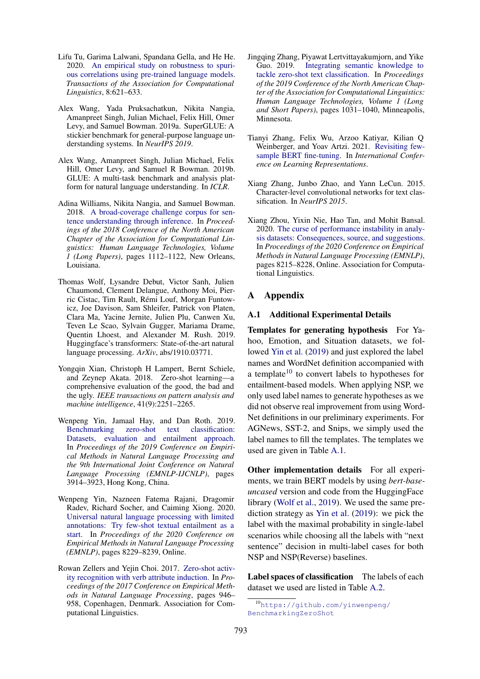- <span id="page-7-8"></span>Lifu Tu, Garima Lalwani, Spandana Gella, and He He. 2020. [An empirical study on robustness to spuri](https://doi.org/10.1162/tacl_a_00335)[ous correlations using pre-trained language models.](https://doi.org/10.1162/tacl_a_00335) *Transactions of the Association for Computational Linguistics*, 8:621–633.
- <span id="page-7-13"></span>Alex Wang, Yada Pruksachatkun, Nikita Nangia, Amanpreet Singh, Julian Michael, Felix Hill, Omer Levy, and Samuel Bowman. 2019a. SuperGLUE: A stickier benchmark for general-purpose language understanding systems. In *NeurIPS 2019*.
- <span id="page-7-5"></span>Alex Wang, Amanpreet Singh, Julian Michael, Felix Hill, Omer Levy, and Samuel R Bowman. 2019b. GLUE: A multi-task benchmark and analysis platform for natural language understanding. In *ICLR*.
- <span id="page-7-6"></span>Adina Williams, Nikita Nangia, and Samuel Bowman. 2018. [A broad-coverage challenge corpus for sen](https://doi.org/10.18653/v1/N18-1101)[tence understanding through inference.](https://doi.org/10.18653/v1/N18-1101) In *Proceedings of the 2018 Conference of the North American Chapter of the Association for Computational Linguistics: Human Language Technologies, Volume 1 (Long Papers)*, pages 1112–1122, New Orleans, Louisiana.
- <span id="page-7-12"></span>Thomas Wolf, Lysandre Debut, Victor Sanh, Julien Chaumond, Clement Delangue, Anthony Moi, Pierric Cistac, Tim Rault, Remi Louf, Morgan Funtow- ´ icz, Joe Davison, Sam Shleifer, Patrick von Platen, Clara Ma, Yacine Jernite, Julien Plu, Canwen Xu, Teven Le Scao, Sylvain Gugger, Mariama Drame, Quentin Lhoest, and Alexander M. Rush. 2019. Huggingface's transformers: State-of-the-art natural language processing. *ArXiv*, abs/1910.03771.
- <span id="page-7-2"></span>Yongqin Xian, Christoph H Lampert, Bernt Schiele, and Zeynep Akata. 2018. Zero-shot learning—a comprehensive evaluation of the good, the bad and the ugly. *IEEE transactions on pattern analysis and machine intelligence*, 41(9):2251–2265.
- <span id="page-7-0"></span>Wenpeng Yin, Jamaal Hay, and Dan Roth. 2019. [Benchmarking zero-shot text classification:](https://doi.org/10.18653/v1/D19-1404) [Datasets, evaluation and entailment approach.](https://doi.org/10.18653/v1/D19-1404) In *Proceedings of the 2019 Conference on Empirical Methods in Natural Language Processing and the 9th International Joint Conference on Natural Language Processing (EMNLP-IJCNLP)*, pages 3914–3923, Hong Kong, China.
- <span id="page-7-1"></span>Wenpeng Yin, Nazneen Fatema Rajani, Dragomir Radev, Richard Socher, and Caiming Xiong. 2020. [Universal natural language processing with limited](https://doi.org/10.18653/v1/2020.emnlp-main.660) [annotations: Try few-shot textual entailment as a](https://doi.org/10.18653/v1/2020.emnlp-main.660) [start.](https://doi.org/10.18653/v1/2020.emnlp-main.660) In *Proceedings of the 2020 Conference on Empirical Methods in Natural Language Processing (EMNLP)*, pages 8229–8239, Online.
- <span id="page-7-9"></span>Rowan Zellers and Yejin Choi. 2017. [Zero-shot activ](https://doi.org/10.18653/v1/D17-1099)[ity recognition with verb attribute induction.](https://doi.org/10.18653/v1/D17-1099) In *Proceedings of the 2017 Conference on Empirical Methods in Natural Language Processing*, pages 946– 958, Copenhagen, Denmark. Association for Computational Linguistics.
- <span id="page-7-10"></span>Jingqing Zhang, Piyawat Lertvittayakumjorn, and Yike Guo. 2019. [Integrating semantic knowledge to](https://doi.org/10.18653/v1/N19-1108) [tackle zero-shot text classification.](https://doi.org/10.18653/v1/N19-1108) In *Proceedings of the 2019 Conference of the North American Chapter of the Association for Computational Linguistics: Human Language Technologies, Volume 1 (Long and Short Papers)*, pages 1031–1040, Minneapolis, Minnesota.
- <span id="page-7-4"></span>Tianyi Zhang, Felix Wu, Arzoo Katiyar, Kilian Q Weinberger, and Yoav Artzi. 2021. [Revisiting few](https://openreview.net/forum?id=cO1IH43yUF)[sample BERT fine-tuning.](https://openreview.net/forum?id=cO1IH43yUF) In *International Conference on Learning Representations*.
- <span id="page-7-3"></span>Xiang Zhang, Junbo Zhao, and Yann LeCun. 2015. Character-level convolutional networks for text classification. In *NeurIPS 2015*.
- <span id="page-7-7"></span>Xiang Zhou, Yixin Nie, Hao Tan, and Mohit Bansal. 2020. [The curse of performance instability in analy](https://doi.org/10.18653/v1/2020.emnlp-main.659)[sis datasets: Consequences, source, and suggestions.](https://doi.org/10.18653/v1/2020.emnlp-main.659) In *Proceedings of the 2020 Conference on Empirical Methods in Natural Language Processing (EMNLP)*, pages 8215–8228, Online. Association for Computational Linguistics.

# A Appendix

# A.1 Additional Experimental Details

Templates for generating hypothesis For Yahoo, Emotion, and Situation datasets, we followed [Yin et al.](#page-7-0) [\(2019\)](#page-7-0) and just explored the label names and WordNet definition accompanied with a template<sup>[10](#page-7-11)</sup> to convert labels to hypotheses for entailment-based models. When applying NSP, we only used label names to generate hypotheses as we did not observe real improvement from using Word-Net definitions in our preliminary experiments. For AGNews, SST-2, and Snips, we simply used the label names to fill the templates. The templates we used are given in Table [A.1.](#page-8-0)

Other implementation details For all experiments, we train BERT models by using *bert-baseuncased* version and code from the HuggingFace library [\(Wolf et al.,](#page-7-12) [2019\)](#page-7-12). We used the same prediction strategy as [Yin et al.](#page-7-0) [\(2019\)](#page-7-0): we pick the label with the maximal probability in single-label scenarios while choosing all the labels with "next sentence" decision in multi-label cases for both NSP and NSP(Reverse) baselines.

Label spaces of classification The labels of each dataset we used are listed in Table [A.2.](#page-8-1)

<span id="page-7-11"></span><sup>10</sup>[https://github.com/yinwenpeng/](https://github.com/yinwenpeng/BenchmarkingZeroShot) [BenchmarkingZeroShot](https://github.com/yinwenpeng/BenchmarkingZeroShot)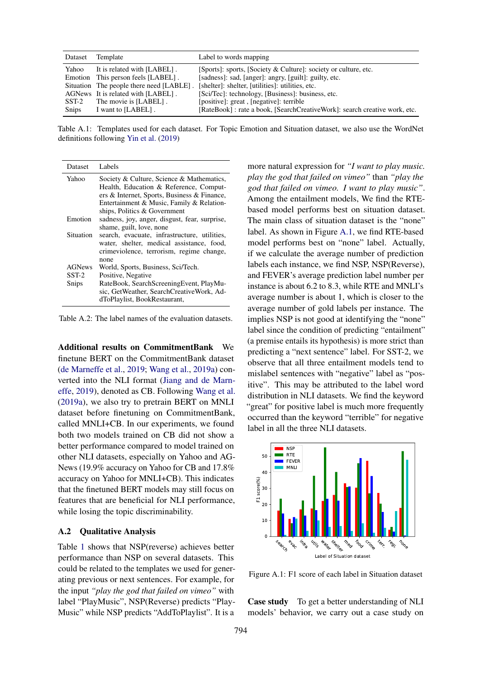<span id="page-8-0"></span>

|              | Dataset Template                                                  | Label to words mapping                                                                                                   |
|--------------|-------------------------------------------------------------------|--------------------------------------------------------------------------------------------------------------------------|
| Yahoo        | It is related with [LABEL].<br>Emotion This person feels [LABEL]. | [Sports]: sports, [Society & Culture]: society or culture, etc.<br>[sadness]: sad, [anger]: angry, [guilt]: guilty, etc. |
|              | Situation The people there need [LABLE].                          | [shelter]: shelter, [utilities]: utilities, etc.                                                                         |
|              | AGNews It is related with [LABEL].<br>SST-2 The movie is [LABEL]. | [Sci/Tec]: technology, [Business]: business, etc.<br>[positive]: great, [negative]: terrible]                            |
| <b>Snips</b> | I want to [LABEL].                                                | [RateBook] : rate a book, [SearchCreativeWork]: search creative work, etc.                                               |

Table A.1: Templates used for each dataset. For Topic Emotion and Situation dataset, we also use the WordNet definitions following [Yin et al.](#page-7-0) [\(2019\)](#page-7-0)

<span id="page-8-1"></span>

| Dataset       | Labels                                                                                                                                                                                                          |
|---------------|-----------------------------------------------------------------------------------------------------------------------------------------------------------------------------------------------------------------|
| Yahoo         | Society & Culture, Science & Mathematics,<br>Health, Education & Reference, Comput-<br>ers & Internet, Sports, Business & Finance,<br>Entertainment & Music, Family & Relation-<br>ships, Politics & Government |
| Emotion       | sadness, joy, anger, disgust, fear, surprise,<br>shame, guilt, love, none                                                                                                                                       |
| Situation     | search, evacuate, infrastructure, utilities,<br>water, shelter, medical assistance, food,<br>crimeviolence, terrorism, regime change,<br>none                                                                   |
| <b>AGNews</b> | World, Sports, Business, Sci/Tech.                                                                                                                                                                              |
| $SST-2$       | Positive, Negative                                                                                                                                                                                              |
| Snips         | RateBook, SearchScreeningEvent, PlayMu-<br>sic, GetWeather, SearchCreativeWork, Ad-<br>dToPlaylist, BookRestaurant,                                                                                             |

Table A.2: The label names of the evaluation datasets.

Additional results on CommitmentBank We finetune BERT on the CommitmentBank dataset [\(de Marneffe et al.,](#page-5-15) [2019;](#page-5-15) [Wang et al.,](#page-7-13) [2019a\)](#page-7-13) converted into the NLI format [\(Jiang and de Marn](#page-5-7)[effe,](#page-5-7) [2019\)](#page-5-7), denoted as CB. Following [Wang et al.](#page-7-13) [\(2019a\)](#page-7-13), we also try to pretrain BERT on MNLI dataset before finetuning on CommitmentBank, called MNLI+CB. In our experiments, we found both two models trained on CB did not show a better performance compared to model trained on other NLI datasets, especially on Yahoo and AG-News (19.9% accuracy on Yahoo for CB and 17.8% accuracy on Yahoo for MNLI+CB). This indicates that the finetuned BERT models may still focus on features that are beneficial for NLI performance, while losing the topic discriminability.

# A.2 Qualitative Analysis

Table [1](#page-2-0) shows that NSP(reverse) achieves better performance than NSP on several datasets. This could be related to the templates we used for generating previous or next sentences. For example, for the input *"play the god that failed on vimeo"* with label "PlayMusic", NSP(Reverse) predicts "Play-Music" while NSP predicts "AddToPlaylist". It is a

more natural expression for *"I want to play music. play the god that failed on vimeo"* than *"play the god that failed on vimeo. I want to play music"*. Among the entailment models, We find the RTEbased model performs best on situation dataset. The main class of situation dataset is the "none" label. As shown in Figure [A.1,](#page-8-2) we find RTE-based model performs best on "none" label. Actually, if we calculate the average number of prediction labels each instance, we find NSP, NSP(Reverse), and FEVER's average prediction label number per instance is about 6.2 to 8.3, while RTE and MNLI's average number is about 1, which is closer to the average number of gold labels per instance. The implies NSP is not good at identifying the "none" label since the condition of predicting "entailment" (a premise entails its hypothesis) is more strict than predicting a "next sentence" label. For SST-2, we observe that all three entailment models tend to mislabel sentences with "negative" label as "positive". This may be attributed to the label word distribution in NLI datasets. We find the keyword "great" for positive label is much more frequently occurred than the keyword "terrible" for negative label in all the three NLI datasets.

<span id="page-8-2"></span>

Figure A.1: F1 score of each label in Situation dataset

Case study To get a better understanding of NLI models' behavior, we carry out a case study on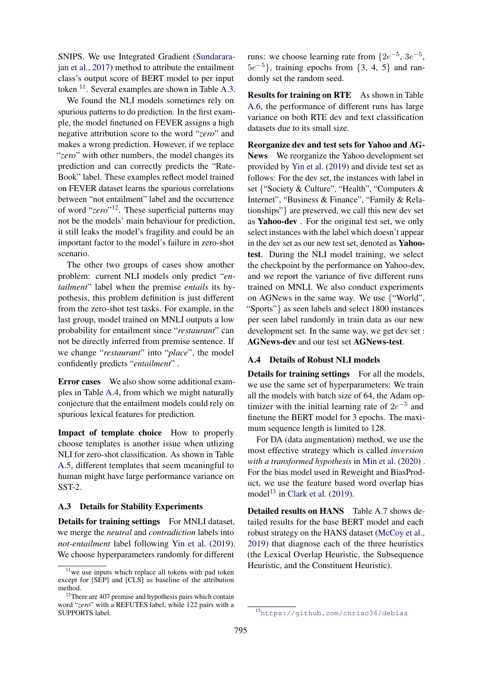SNIPS. We use Integrated Gradient [\(Sundarara](#page-6-17)[jan et al.,](#page-6-17) [2017\)](#page-6-17) method to attribute the entailment class's output score of BERT model to per input token <sup>[11](#page-9-0)</sup>. Several examples are shown in Table [A.3.](#page-10-0)

We found the NLI models sometimes rely on spurious patterns to do prediction. In the first example, the model finetuned on FEVER assigns a high negative attribution score to the word "*zero*" and makes a wrong prediction. However, if we replace "*zero*" with other numbers, the model changes its prediction and can correctly predicts the "Rate-Book" label. These examples reflect model trained on FEVER dataset learns the spurious correlations between "not entailment" label and the occurrence of word "*zero*" [12](#page-9-1). These superficial patterns may not be the models' main behaviour for prediction, it still leaks the model's fragility and could be an important factor to the model's failure in zero-shot scenario.

The other two groups of cases show another problem: current NLI models only predict "*entailment*" label when the premise *entails* its hypothesis, this problem definition is just different from the zero-shot test tasks. For example, in the last group, model trained on MNLI outputs a low probability for entailment since "*restaurant*" can not be directly inferred from premise sentence. If we change "*restaurant*" into "*place*", the model confidently predicts "*entailment*" .

Error cases We also show some additional examples in Table [A.4,](#page-10-1) from which we might naturally conjecture that the entailment models could rely on spurious lexical features for prediction.

Impact of template choice How to properly choose templates is another issue when utlizing NLI for zero-shot classification. As shown in Table [A.5,](#page-10-2) different templates that seem meaningful to human might have large performance variance on SST-2.

# A.3 Details for Stability Experiments

Details for training settings For MNLI dataset, we merge the *neutral* and *contradiction* labels into *not-entailment* label following [Yin et al.](#page-7-0) [\(2019\)](#page-7-0). We choose hyperparameters randomly for different runs: we choose learning rate from  $\{2e^{-5}, 3e^{-5}, \}$  $5e^{-5}$ }, training epochs from {3, 4, 5} and randomly set the random seed.

Results for training on RTE As shown in Table [A.6,](#page-10-3) the performance of different runs has large variance on both RTE dev and text classification datasets due to its small size.

Reorganize dev and test sets for Yahoo and AG-News We reorganize the Yahoo development set provided by [Yin et al.](#page-7-0) [\(2019\)](#page-7-0) and divide test set as follows: For the dev set, the instances with label in set {"Society & Culture", "Health", "Computers & Internet", "Business & Finance", "Family & Relationships"} are preserved, we call this new dev set as Yahoo-dev . For the original test set, we only select instances with the label which doesn't appear in the dev set as our new test set, denoted as Yahootest. During the NLI model training, we select the checkpoint by the performance on Yahoo-dev, and we report the variance of five different runs trained on MNLI. We also conduct experiments on AGNews in the same way. We use {"World", "Sports"} as seen labels and select 1800 instances per seen label randomly in train data as our new development set. In the same way, we get dev set : AGNews-dev and our test set AGNews-test.

#### A.4 Details of Robust NLI models

Details for training settings For all the models, we use the same set of hyperparameters: We train all the models with batch size of 64, the Adam optimizer with the initial learning rate of  $2e^{-5}$  and finetune the BERT model for 3 epochs. The maximum sequence length is limited to 128.

For DA (data augmentation) method, we use the most effective strategy which is called *inversion with a transformed hypothesis* in [Min et al.](#page-6-12) [\(2020\)](#page-6-12) . For the bias model used in Reweight and BiasProduct, we use the feature based word overlap bias model<sup>[13](#page-9-2)</sup> in [Clark et al.](#page-4-3)  $(2019)$ .

Detailed results on HANS Table [A.7](#page-10-4) shows detailed results for the base BERT model and each robust strategy on the HANS dataset [\(McCoy et al.,](#page-6-10) [2019\)](#page-6-10) that diagnose each of the three heuristics (the Lexical Overlap Heuristic, the Subsequence Heuristic, and the Constituent Heuristic).

<span id="page-9-0"></span> $11$  we use inputs which replace all tokens with pad token except for [SEP] and [CLS] as baseline of the attribution method.

<span id="page-9-1"></span><sup>&</sup>lt;sup>12</sup>There are 407 premise and hypothesis pairs which contain word "*zero*" with a REFUTES label, while 122 pairs with a SUPPORTS label.

<span id="page-9-2"></span><sup>13</sup><https://github.com/chrisc36/debias>